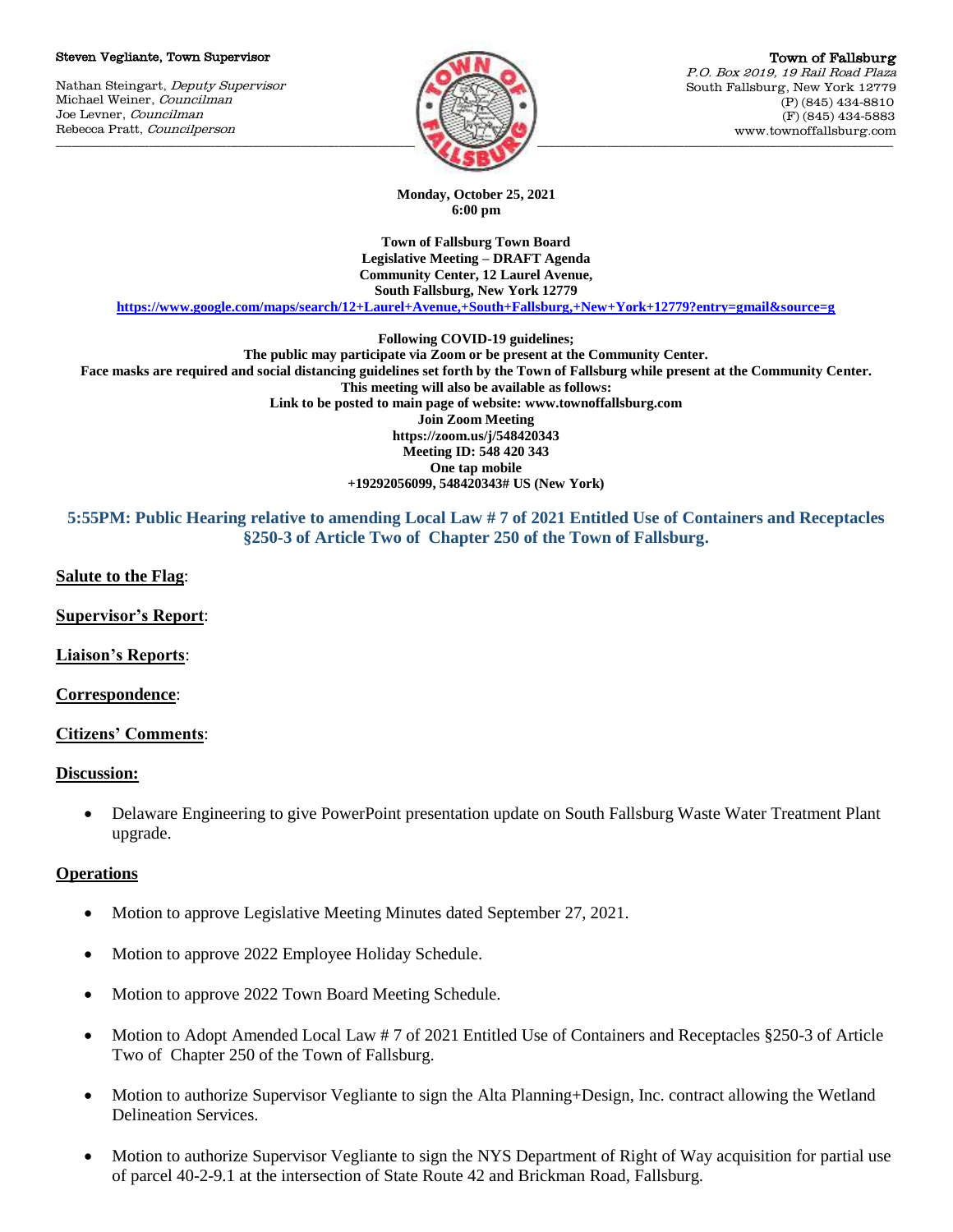#### Steven Vegliante, Town Supervisor

Nathan Steingart, Deputy Supervisor Michael Weiner, Councilman Joe Levner, Councilman Rebecca Pratt, Councilperson



**Monday, October 25, 2021 6:00 pm**

**Town of Fallsburg Town Board Legislative Meeting – DRAFT Agenda Community Center, 12 Laurel Avenue, South Fallsburg, New York 12779**

**<https://www.google.com/maps/search/12+Laurel+Avenue,+South+Fallsburg,+New+York+12779?entry=gmail&source=g>**

**Following COVID-19 guidelines;**

**The public may participate via Zoom or be present at the Community Center. Face masks are required and social distancing guidelines set forth by the Town of Fallsburg while present at the Community Center. This meeting will also be available as follows: Link to be posted to main page of website: www.townoffallsburg.com Join Zoom Meeting https://zoom.us/j/548420343 Meeting ID: 548 420 343 One tap mobile +19292056099, 548420343# US (New York)**

## **5:55PM: Public Hearing relative to amending Local Law # 7 of 2021 Entitled Use of Containers and Receptacles §250-3 of Article Two of Chapter 250 of the Town of Fallsburg.**

**Salute to the Flag**:

**Supervisor's Report**:

**Liaison's Reports**:

**Correspondence**:

### **Citizens' Comments**:

### **Discussion:**

 Delaware Engineering to give PowerPoint presentation update on South Fallsburg Waste Water Treatment Plant upgrade.

### **Operations**

- Motion to approve Legislative Meeting Minutes dated September 27, 2021.
- Motion to approve 2022 Employee Holiday Schedule.
- Motion to approve 2022 Town Board Meeting Schedule.
- Motion to Adopt Amended Local Law # 7 of 2021 Entitled Use of Containers and Receptacles §250-3 of Article Two of Chapter 250 of the Town of Fallsburg.
- Motion to authorize Supervisor Vegliante to sign the Alta Planning+Design, Inc. contract allowing the Wetland Delineation Services.
- Motion to authorize Supervisor Vegliante to sign the NYS Department of Right of Way acquisition for partial use of parcel 40-2-9.1 at the intersection of State Route 42 and Brickman Road, Fallsburg.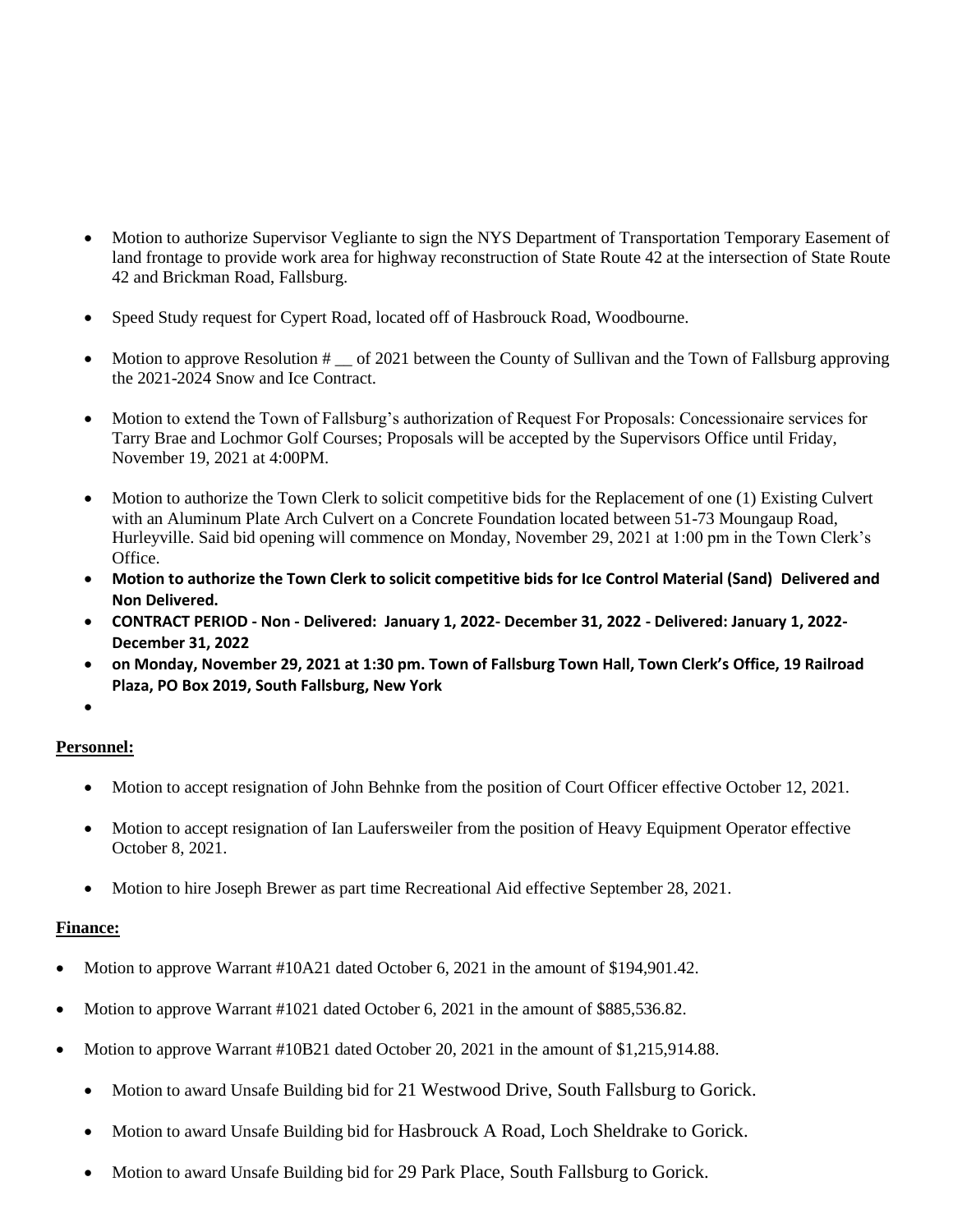- Motion to authorize Supervisor Vegliante to sign the NYS Department of Transportation Temporary Easement of land frontage to provide work area for highway reconstruction of State Route 42 at the intersection of State Route 42 and Brickman Road, Fallsburg.
- Speed Study request for Cypert Road, located off of Hasbrouck Road, Woodbourne.
- Motion to approve Resolution # \_\_ of 2021 between the County of Sullivan and the Town of Fallsburg approving the 2021-2024 Snow and Ice Contract.
- Motion to extend the Town of Fallsburg's authorization of Request For Proposals: Concessionaire services for Tarry Brae and Lochmor Golf Courses; Proposals will be accepted by the Supervisors Office until Friday, November 19, 2021 at 4:00PM.
- Motion to authorize the Town Clerk to solicit competitive bids for the Replacement of one (1) Existing Culvert with an Aluminum Plate Arch Culvert on a Concrete Foundation located between 51-73 Moungaup Road, Hurleyville. Said bid opening will commence on Monday, November 29, 2021 at 1:00 pm in the Town Clerk's Office.
- **Motion to authorize the Town Clerk to solicit competitive bids for Ice Control Material (Sand) Delivered and Non Delivered.**
- **CONTRACT PERIOD - Non - Delivered: January 1, 2022- December 31, 2022 - Delivered: January 1, 2022- December 31, 2022**
- **on Monday, November 29, 2021 at 1:30 pm. Town of Fallsburg Town Hall, Town Clerk's Office, 19 Railroad Plaza, PO Box 2019, South Fallsburg, New York**
- $\bullet$

# **Personnel:**

- Motion to accept resignation of John Behnke from the position of Court Officer effective October 12, 2021.
- Motion to accept resignation of Ian Laufersweiler from the position of Heavy Equipment Operator effective October 8, 2021.
- Motion to hire Joseph Brewer as part time Recreational Aid effective September 28, 2021.

# **Finance:**

- Motion to approve Warrant #10A21 dated October 6, 2021 in the amount of \$194,901.42.
- Motion to approve Warrant #1021 dated October 6, 2021 in the amount of \$885,536.82.
- Motion to approve Warrant #10B21 dated October 20, 2021 in the amount of \$1,215,914.88.
	- Motion to award Unsafe Building bid for 21 Westwood Drive, South Fallsburg to Gorick.
	- Motion to award Unsafe Building bid for Hasbrouck A Road, Loch Sheldrake to Gorick.
	- Motion to award Unsafe Building bid for 29 Park Place, South Fallsburg to Gorick.